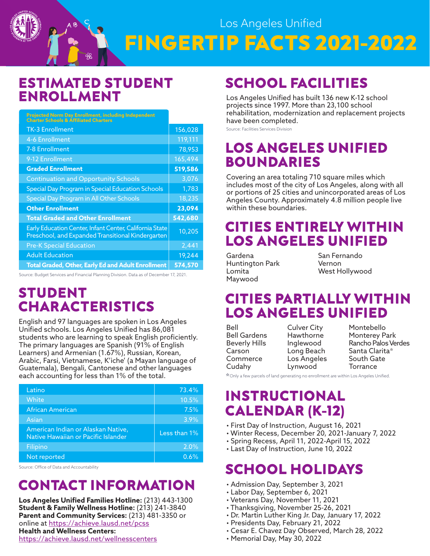

#### **ESTIMATED STUDENT ENROLLMENT**

 $AB$ 

| Projected Norm Day Enrollment, including Independent<br>Charter Schools & Affiliated Charters                |         |
|--------------------------------------------------------------------------------------------------------------|---------|
| <b>TK-3 Enrollment</b>                                                                                       | 156,028 |
| 4-6 Enrollment                                                                                               | 119,111 |
| 7-8 Enrollment                                                                                               | 78,953  |
| 9-12 Enrollment                                                                                              | 165,494 |
| <b>Graded Enrollment</b>                                                                                     | 519,586 |
| <b>Continuation and Opportunity Schools</b>                                                                  | 3,076   |
| Special Day Program in Special Education Schools                                                             | 1,783   |
| Special Day Program in All Other Schools                                                                     | 18,235  |
| <b>Other Enrollment</b>                                                                                      | 23,094  |
| <b>Total Graded and Other Enrollment</b>                                                                     | 542,680 |
| Early Education Center, Infant Center, California State<br>Preschool, and Expanded Transitional Kindergarten | 10,205  |
| <b>Pre-K Special Education</b>                                                                               | 2,441   |
| <b>Adult Education</b>                                                                                       | 19,244  |
| <b>Total Graded, Other, Early Ed and Adult Enrollment</b>                                                    | 574,570 |

Source: Budget Services and Financial Planning Division. Data as of December 17, 2021.

#### **STUDENT CHARACTERISTICS**

English and 97 languages are spoken in Los Angeles Unified schools. Los Angeles Unified has 86,081 students who are learning to speak English proficiently. The primary languages are Spanish (91% of English Learners) and Armenian (1.67%), Russian, Korean, Arabic, Farsi, Vietnamese, K'iche' (a Mayan language of Guatemala), Bengali, Cantonese and other languages each accounting for less than 1% of the total.

| Latino                                                                    | 73.4%           |
|---------------------------------------------------------------------------|-----------------|
| White                                                                     | 10.5%           |
| African American                                                          | 7.5%            |
| Asian                                                                     | 3.9%            |
| American Indian or Alaskan Native,<br>Native Hawaiian or Pacific Islander | Less than $1\%$ |
| Filipino                                                                  | 2.0%            |
| Not reported                                                              | 0.6%            |

Source: Office of Data and Accountability

## **CONTACT INFORMATION**

**Los Angeles Unified Families Hotline:** (213) 443-1300 **Student & Family Wellness Hotline:** (213) 241-3840 **Parent and Community Services:** (213) 481-3350 or online at <u><https://achieve.lausd.net/pcss></u> **Health and Wellness Centers:**  <https://achieve.lausd.net/wellnesscenters>

## **SCHOOL FACILITIES**

Los Angeles Unified has built 136 new K-12 school projects since 1997. More than 23,100 school rehabilitation, modernization and replacement projects have been completed.

Source: Facilities Services Division

#### **LOS ANGELES UNIFIED BOUNDARIES**

Covering an area totaling 710 square miles which includes most of the city of Los Angeles, along with all or portions of 25 cities and unincorporated areas of Los Angeles County. Approximately 4.8 million people live within these boundaries.

#### **CITIES ENTIRELY WITHIN LOS ANGELES UNIFIED**

Gardena Huntington Park Lomita Maywood

San Fernando Vernon West Hollywood

#### **CITIES PARTIALLY WITHIN LOS ANGELES UNIFIED**

| Bell                 |
|----------------------|
| Bell Gardens         |
| <b>Beverly Hills</b> |
| Carson               |
| Commerce             |
| Cudahy               |
|                      |

Culver City **Hawthorne** Inglewood Long Beach Los Angeles Lynwood

Montebello Monterey Park Rancho Palos Verdes Santa Clarita\* South Gate Torrance

\*Only a few parcels of land generating no enrollment are within Los Angeles Unified.

#### **INSTRUCTIONAL CALENDAR (K-12)**

- First Day of Instruction, August 16, 2021
- Winter Recess, December 20, 2021-January 7, 2022
- Spring Recess, April 11, 2022-April 15, 2022
- Last Day of Instruction, June 10, 2022

## **SCHOOL HOLIDAYS**

- Admission Day, September 3, 2021
- Labor Day, September 6, 2021
- Veterans Day, November 11, 2021
- Thanksgiving, November 25-26, 2021
- Dr. Martin Luther King Jr. Day, January 17, 2022
- Presidents Day, February 21, 2022
- Cesar E. Chavez Day Observed, March 28, 2022
- Memorial Day, May 30, 2022